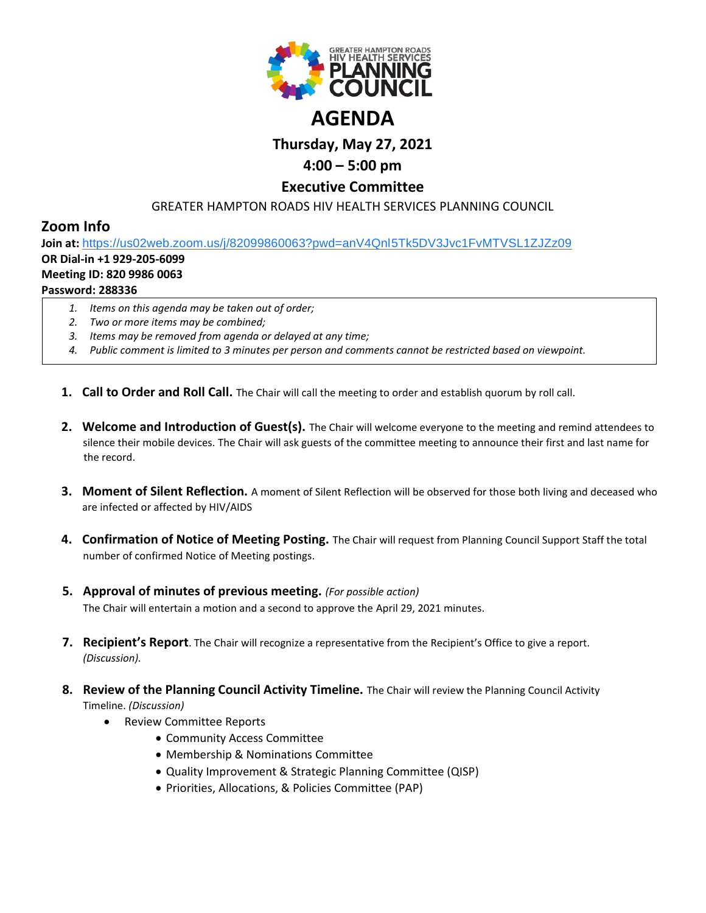

# **Thursday, May 27, 2021**

# **4:00 – 5:00 pm**

## **Executive Committee**

GREATER HAMPTON ROADS HIV HEALTH SERVICES PLANNING COUNCIL

## **Zoom Info**

**Join at:** [https://us02web.zoom.us/j/82099860063?pwd=anV4Qnl5Tk5DV3Jvc1FvMTVSL1ZJZz09](https://www.google.com/url?q=https://us02web.zoom.us/j/82099860063?pwd%3DanV4Qnl5Tk5DV3Jvc1FvMTVSL1ZJZz09&sa=D&source=calendar&ust=1616595038982000&usg=AOvVaw0XXWi-w2TTi7zJiXdjtkF1)

## **OR Dial-in +1 929-205-6099**

## **Meeting ID: 820 9986 0063**

## **Password: 288336**

- *1. Items on this agenda may be taken out of order;*
- *2. Two or more items may be combined;*
- *3. Items may be removed from agenda or delayed at any time;*
- *4. Public comment is limited to 3 minutes per person and comments cannot be restricted based on viewpoint.*
- **1. Call to Order and Roll Call.** The Chair will call the meeting to order and establish quorum by roll call.
- **2. Welcome and Introduction of Guest(s).** The Chair will welcome everyone to the meeting and remind attendees to silence their mobile devices. The Chair will ask guests of the committee meeting to announce their first and last name for the record.
- **3. Moment of Silent Reflection.** A moment of Silent Reflection will be observed for those both living and deceased who are infected or affected by HIV/AIDS
- **4. Confirmation of Notice of Meeting Posting.** The Chair will request from Planning Council Support Staff the total number of confirmed Notice of Meeting postings.
- **5. Approval of minutes of previous meeting.** *(For possible action)* The Chair will entertain a motion and a second to approve the April 29, 2021 minutes.
- **7. Recipient's Report**. The Chair will recognize a representative from the Recipient's Office to give a report. *(Discussion).*
- **8. Review of the Planning Council Activity Timeline.** The Chair will review the Planning Council Activity Timeline. *(Discussion)*
	- Review Committee Reports
		- Community Access Committee
		- Membership & Nominations Committee
		- Quality Improvement & Strategic Planning Committee (QISP)
		- Priorities, Allocations, & Policies Committee (PAP)